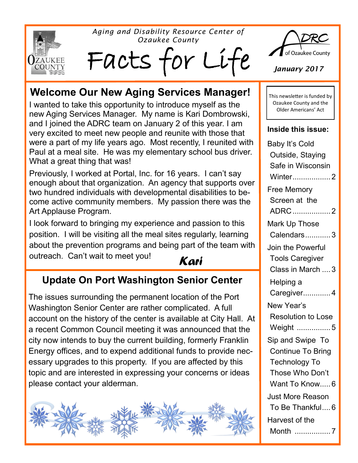

*Aging and Disability Resource Center of Ozaukee County*

Facts for Li



*January 2017*

## **Welcome Our New Aging Services Manager!**

I wanted to take this opportunity to introduce myself as the new Aging Services Manager. My name is Kari Dombrowski, and I joined the ADRC team on January 2 of this year. I am very excited to meet new people and reunite with those that were a part of my life years ago. Most recently, I reunited with Paul at a meal site. He was my elementary school bus driver. What a great thing that was!

Previously, I worked at Portal, Inc. for 16 years. I can't say enough about that organization. An agency that supports over two hundred individuals with developmental disabilities to become active community members. My passion there was the Art Applause Program.

I look forward to bringing my experience and passion to this position. I will be visiting all the meal sites regularly, learning about the prevention programs and being part of the team with outreach. Can't wait to meet you!

#### *Kari*

### **Update On Port Washington Senior Center**

The issues surrounding the permanent location of the Port Washington Senior Center are rather complicated. A full account on the history of the center is available at City Hall. At a recent Common Council meeting it was announced that the city now intends to buy the current building, formerly Franklin Energy offices, and to expend additional funds to provide necessary upgrades to this property. If you are affected by this topic and are interested in expressing your concerns or ideas please contact your alderman.



This newsletter is funded by Ozaukee County and the Older Americans' Act

#### **Inside this issue:**

| Baby It's Cold           |
|--------------------------|
| Outside, Staying         |
| Safe in Wisconsin        |
| Winter2                  |
| <b>Free Memory</b>       |
| Screen at the            |
| ADRC 2                   |
| Mark Up Those            |
| Calendars3               |
| Join the Powerful        |
| <b>Tools Caregiver</b>   |
| Class in March  3        |
| Helping a                |
| Caregiver 4              |
| New Year's               |
| Resolution to Lose       |
| Weight 5                 |
| Sip and Swipe To         |
| <b>Continue To Bring</b> |
| <b>Technology To</b>     |
| Those Who Don't          |
| Want To Know 6           |
| <b>Just More Reason</b>  |
| To Be Thankful 6         |
| Harvest of the           |
| Month 7                  |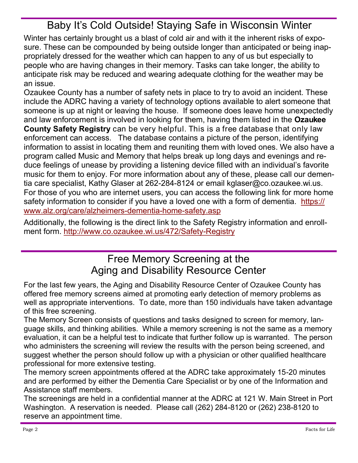## Baby It's Cold Outside! Staying Safe in Wisconsin Winter

Winter has certainly brought us a blast of cold air and with it the inherent risks of exposure. These can be compounded by being outside longer than anticipated or being inappropriately dressed for the weather which can happen to any of us but especially to people who are having changes in their memory. Tasks can take longer, the ability to anticipate risk may be reduced and wearing adequate clothing for the weather may be an issue.

Ozaukee County has a number of safety nets in place to try to avoid an incident. These include the ADRC having a variety of technology options available to alert someone that someone is up at night or leaving the house. If someone does leave home unexpectedly and law enforcement is involved in looking for them, having them listed in the **Ozaukee County Safety Registry** can be very helpful. This is a free database that only law enforcement can access. The database contains a picture of the person, identifying information to assist in locating them and reuniting them with loved ones. We also have a program called Music and Memory that helps break up long days and evenings and reduce feelings of unease by providing a listening device filled with an individual's favorite music for them to enjoy. For more information about any of these, please call our dementia care specialist, Kathy Glaser at 262-284-8124 or email kglaser@co.ozaukee.wi.us. For those of you who are internet users, you can access the following link for more home safety information to consider if you have a loved one with a form of dementia. [https://](https://www.alz.org/care/alzheimers-dementia-home-safety.asp) [www.alz.org/care/alzheimers](https://www.alz.org/care/alzheimers-dementia-home-safety.asp)-dementia-home-safety.asp

Additionally, the following is the direct link to the Safety Registry information and enrollment form. [http://www.co.ozaukee.wi.us/472/Safety](http://www.co.ozaukee.wi.us/472/Safety-Registry)-Registry

### Free Memory Screening at the Aging and Disability Resource Center

For the last few years, the Aging and Disability Resource Center of Ozaukee County has offered free memory screens aimed at promoting early detection of memory problems as well as appropriate interventions. To date, more than 150 individuals have taken advantage of this free screening.

The Memory Screen consists of questions and tasks designed to screen for memory, language skills, and thinking abilities. While a memory screening is not the same as a memory evaluation, it can be a helpful test to indicate that further follow up is warranted. The person who administers the screening will review the results with the person being screened, and suggest whether the person should follow up with a physician or other qualified healthcare professional for more extensive testing.

The memory screen appointments offered at the ADRC take approximately 15-20 minutes and are performed by either the Dementia Care Specialist or by one of the Information and Assistance staff members.

The screenings are held in a confidential manner at the ADRC at 121 W. Main Street in Port Washington. A reservation is needed. Please call (262) 284-8120 or (262) 238-8120 to reserve an appointment time.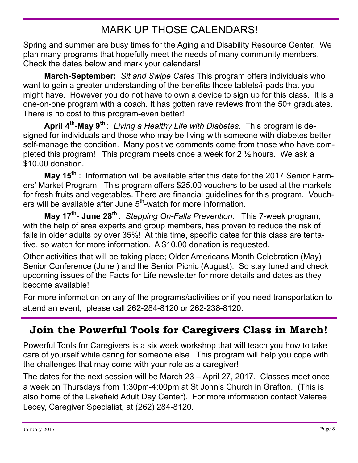# MARK UP THOSE CALENDARS!

Spring and summer are busy times for the Aging and Disability Resource Center. We plan many programs that hopefully meet the needs of many community members. Check the dates below and mark your calendars!

**March-September:** *Sit and Swipe Cafes* This program offers individuals who want to gain a greater understanding of the benefits those tablets/i-pads that you might have. However you do not have to own a device to sign up for this class. It is a one-on-one program with a coach. It has gotten rave reviews from the 50+ graduates. There is no cost to this program-even better!

**April 4th -May 9th** : *Living a Healthy Life with Diabetes.* This program is designed for individuals and those who may be living with someone with diabetes better self-manage the condition. Many positive comments come from those who have completed this program! This program meets once a week for 2 ½ hours. We ask a \$10.00 donation.

**May 15th** : Information will be available after this date for the 2017 Senior Farmers' Market Program. This program offers \$25.00 vouchers to be used at the markets for fresh fruits and vegetables. There are financial guidelines for this program. Vouchers will be available after June 5<sup>th</sup>-watch for more information.

**May 17th - June 28th** : *Stepping On-Falls Prevention.* This 7-week program, with the help of area experts and group members, has proven to reduce the risk of falls in older adults by over 35%! At this time, specific dates for this class are tentative, so watch for more information. A \$10.00 donation is requested.

Other activities that will be taking place; Older Americans Month Celebration (May) Senior Conference (June ) and the Senior Picnic (August). So stay tuned and check upcoming issues of the Facts for Life newsletter for more details and dates as they become available!

For more information on any of the programs/activities or if you need transportation to attend an event, please call 262-284-8120 or 262-238-8120.

## **Join the Powerful Tools for Caregivers Class in March!**

Powerful Tools for Caregivers is a six week workshop that will teach you how to take care of yourself while caring for someone else. This program will help you cope with the challenges that may come with your role as a caregiver!

The dates for the next session will be March 23 – April 27, 2017. Classes meet once a week on Thursdays from 1:30pm-4:00pm at St John's Church in Grafton. (This is also home of the Lakefield Adult Day Center). For more information contact Valeree Lecey, Caregiver Specialist, at (262) 284-8120.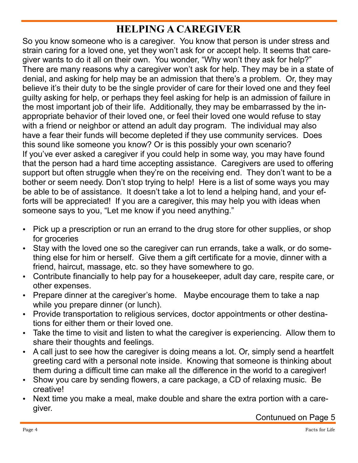## **HELPING A CAREGIVER**

So you know someone who is a caregiver. You know that person is under stress and strain caring for a loved one, yet they won't ask for or accept help. It seems that caregiver wants to do it all on their own. You wonder, "Why won't they ask for help?" There are many reasons why a caregiver won't ask for help. They may be in a state of denial, and asking for help may be an admission that there's a problem. Or, they may believe it's their duty to be the single provider of care for their loved one and they feel guilty asking for help, or perhaps they feel asking for help is an admission of failure in the most important job of their life. Additionally, they may be embarrassed by the inappropriate behavior of their loved one, or feel their loved one would refuse to stay with a friend or neighbor or attend an adult day program. The individual may also have a fear their funds will become depleted if they use community services. Does this sound like someone you know? Or is this possibly your own scenario? If you've ever asked a caregiver if you could help in some way, you may have found that the person had a hard time accepting assistance. Caregivers are used to offering support but often struggle when they're on the receiving end. They don't want to be a bother or seem needy. Don't stop trying to help! Here is a list of some ways you may be able to be of assistance. It doesn't take a lot to lend a helping hand, and your efforts will be appreciated! If you are a caregiver, this may help you with ideas when someone says to you, "Let me know if you need anything."

- Pick up a prescription or run an errand to the drug store for other supplies, or shop for groceries
- Stay with the loved one so the caregiver can run errands, take a walk, or do something else for him or herself. Give them a gift certificate for a movie, dinner with a friend, haircut, massage, etc. so they have somewhere to go.
- Contribute financially to help pay for a housekeeper, adult day care, respite care, or other expenses.
- Prepare dinner at the caregiver's home. Maybe encourage them to take a nap while you prepare dinner (or lunch).
- Provide transportation to religious services, doctor appointments or other destinations for either them or their loved one.
- Take the time to visit and listen to what the caregiver is experiencing. Allow them to share their thoughts and feelings.
- A call just to see how the caregiver is doing means a lot. Or, simply send a heartfelt greeting card with a personal note inside. Knowing that someone is thinking about them during a difficult time can make all the difference in the world to a caregiver!
- Show you care by sending flowers, a care package, a CD of relaxing music. Be creative!
- Next time you make a meal, make double and share the extra portion with a caregiver.

Contunued on Page 5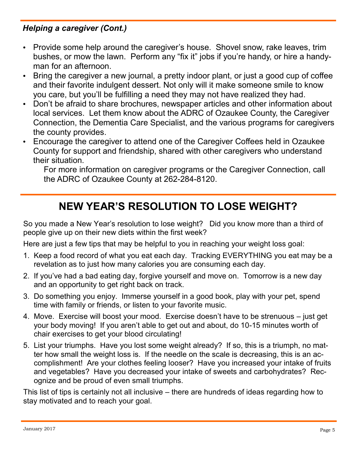#### *Helping a caregiver (Cont.)*

- Provide some help around the caregiver's house. Shovel snow, rake leaves, trim bushes, or mow the lawn. Perform any "fix it" jobs if you're handy, or hire a handyman for an afternoon.
- Bring the caregiver a new journal, a pretty indoor plant, or just a good cup of coffee and their favorite indulgent dessert. Not only will it make someone smile to know you care, but you'll be fulfilling a need they may not have realized they had.
- Don't be afraid to share brochures, newspaper articles and other information about local services. Let them know about the ADRC of Ozaukee County, the Caregiver Connection, the Dementia Care Specialist, and the various programs for caregivers the county provides.
- Encourage the caregiver to attend one of the Caregiver Coffees held in Ozaukee County for support and friendship, shared with other caregivers who understand their situation.

For more information on caregiver programs or the Caregiver Connection, call the ADRC of Ozaukee County at 262-284-8120.

## **NEW YEAR'S RESOLUTION TO LOSE WEIGHT?**

So you made a New Year's resolution to lose weight? Did you know more than a third of people give up on their new diets within the first week?

Here are just a few tips that may be helpful to you in reaching your weight loss goal:

- 1. Keep a food record of what you eat each day. Tracking EVERYTHING you eat may be a revelation as to just how many calories you are consuming each day.
- 2. If you've had a bad eating day, forgive yourself and move on. Tomorrow is a new day and an opportunity to get right back on track.
- 3. Do something you enjoy. Immerse yourself in a good book, play with your pet, spend time with family or friends, or listen to your favorite music.
- 4. Move. Exercise will boost your mood. Exercise doesn't have to be strenuous just get your body moving! If you aren't able to get out and about, do 10-15 minutes worth of chair exercises to get your blood circulating!
- 5. List your triumphs. Have you lost some weight already? If so, this is a triumph, no matter how small the weight loss is. If the needle on the scale is decreasing, this is an accomplishment! Are your clothes feeling looser? Have you increased your intake of fruits and vegetables? Have you decreased your intake of sweets and carbohydrates? Recognize and be proud of even small triumphs.

This list of tips is certainly not all inclusive – there are hundreds of ideas regarding how to stay motivated and to reach your goal.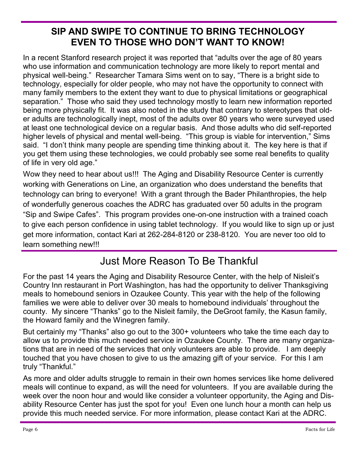#### **SIP AND SWIPE TO CONTINUE TO BRING TECHNOLOGY EVEN TO THOSE WHO DON'T WANT TO KNOW!**

In a recent Stanford research project it was reported that "adults over the age of 80 years who use information and communication technology are more likely to report mental and physical well-being." Researcher Tamara Sims went on to say, "There is a bright side to technology, especially for older people, who may not have the opportunity to connect with many family members to the extent they want to due to physical limitations or geographical separation." Those who said they used technology mostly to learn new information reported being more physically fit. It was also noted in the study that contrary to stereotypes that older adults are technologically inept, most of the adults over 80 years who were surveyed used at least one technological device on a regular basis. And those adults who did self-reported higher levels of physical and mental well-being. "This group is viable for intervention," Sims said. "I don't think many people are spending time thinking about it. The key here is that if you get them using these technologies, we could probably see some real benefits to quality of life in very old age."

Wow they need to hear about us!!! The Aging and Disability Resource Center is currently working with Generations on Line, an organization who does understand the benefits that technology can bring to everyone! With a grant through the Bader Philanthropies, the help of wonderfully generous coaches the ADRC has graduated over 50 adults in the program "Sip and Swipe Cafes". This program provides one-on-one instruction with a trained coach to give each person confidence in using tablet technology. If you would like to sign up or just get more information, contact Kari at 262-284-8120 or 238-8120. You are never too old to learn something new!!!

### Just More Reason To Be Thankful

For the past 14 years the Aging and Disability Resource Center, with the help of Nisleit's Country Inn restaurant in Port Washington, has had the opportunity to deliver Thanksgiving meals to homebound seniors in Ozaukee County. This year with the help of the following families we were able to deliver over 30 meals to homebound individuals' throughout the county. My sincere "Thanks" go to the Nisleit family, the DeGroot family, the Kasun family, the Howard family and the Winegren family.

But certainly my "Thanks" also go out to the 300+ volunteers who take the time each day to allow us to provide this much needed service in Ozaukee County. There are many organizations that are in need of the services that only volunteers are able to provide. I am deeply touched that you have chosen to give to us the amazing gift of your service. For this I am truly "Thankful."

As more and older adults struggle to remain in their own homes services like home delivered meals will continue to expand, as will the need for volunteers. If you are available during the week over the noon hour and would like consider a volunteer opportunity, the Aging and Disability Resource Center has just the spot for you! Even one lunch hour a month can help us provide this much needed service. For more information, please contact Kari at the ADRC.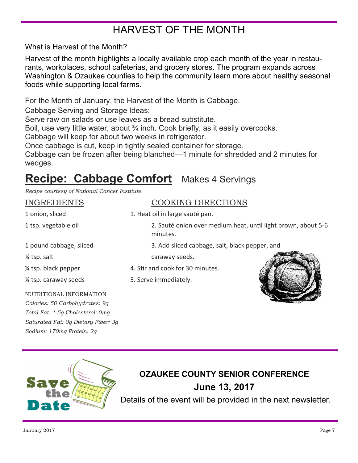# HARVEST OF THE MONTH

What is Harvest of the Month?

Harvest of the month highlights a locally available crop each month of the year in restaurants, workplaces, school cafeterias, and grocery stores. The program expands across Washington & Ozaukee counties to help the community learn more about healthy seasonal foods while supporting local farms.

For the Month of January, the Harvest of the Month is Cabbage.

Cabbage Serving and Storage Ideas:

Serve raw on salads or use leaves as a bread substitute.

Boil, use very little water, about <sup>3</sup>/<sub>4</sub> inch. Cook briefly, as it easily overcooks.

Cabbage will keep for about two weeks in refrigerator.

Once cabbage is cut, keep in tightly sealed container for storage.

Cabbage can be frozen after being blanched—1 minute for shredded and 2 minutes for wedges.

# **Recipe: Cabbage Comfort** Makes 4 Servings

*Recipe courtesy of National Cancer Institute*

| INGREDIENTS |
|-------------|
|-------------|

#### COOKING DIRECTIONS

1 onion, sliced 1. Heat oil in large sauté pan.

1 tsp. vegetable oil 2. Sauté onion over medium heat, until light brown, about 5-6 minutes.

1 pound cabbage, sliced 3. Add sliced cabbage, salt, black pepper, and

% tsp. salt caraway seeds.

- ¼ tsp. black pepper 4. Stir and cook for 30 minutes.
- % tsp. caraway seeds 5. Serve immediately.



#### NUTRITIONAL INFORMATION

*Calories: 50 Carbohydrates: 9g Total Fat: 1.5g Cholesterol: 0mg Saturated Fat: 0g Dietary Fiber: 3g Sodium: 170mg Protein: 2g*



## **OZAUKEE COUNTY SENIOR CONFERENCE June 13, 2017**

Details of the event will be provided in the next newsletter.